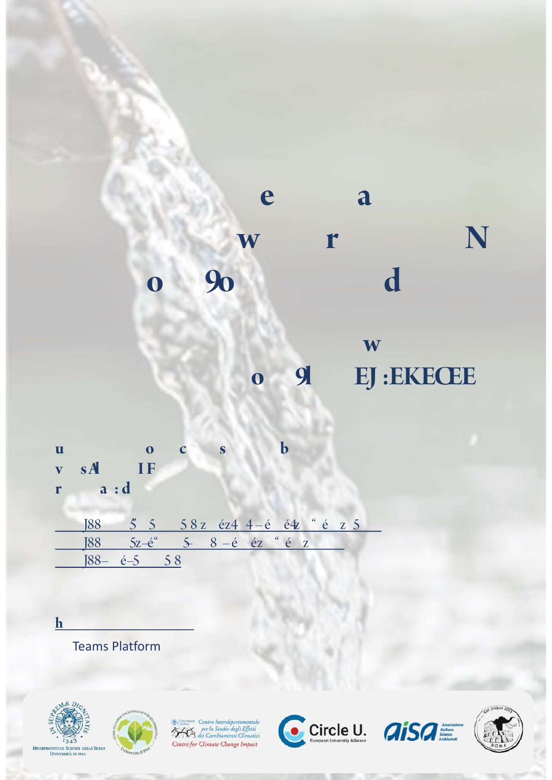# e a and Water Resources: New York Resources: New York Resources: New York Resources: New York Resources: New York Resources: New York Resources: New York Resources: New York Resources: New York Resources: New York Resources: N  $\infty$  9 and Future and Future and Future and Future and Future and Future and Future and Future and Future and Future and Future and Future and Future and Future and Future and Future and Future and Future and Future and

W and the state of the state of the state of the state of the state of the state of the state of the state of the state of the state of the state of the state of the state of the state of the state of the state of the stat d<br>w<br>o 9 EJ:EKECEE

u ocs b v sA IF<br>r a:d Room C - First floor https://www.dst.unipi.it/laurea-in-scienze-ambientali.html

 $\frac{188}{52-6}$   $\frac{52-6}{5}$   $\frac{8-6}{6}$   $\frac{62}{6}$   $\frac{62}{12}$  $188 - 6 - 5$  58  $\frac{188}{188}$   $\frac{5z-2e^x}{58}$   $\frac{5z-2e^x}{58}$   $\frac{6z-2e^x}{58}$   $\frac{6z-2e^x}{58}$   $\frac{6z-2e^x}{58}$   $\frac{6z-2e^x}{58}$   $\frac{6z-2e^x}{58}$   $\frac{7z-2e^x}{58}$   $\frac{7z-2e^x}{58}$   $\frac{7z-2e^x}{58}$   $\frac{7z-2e^x}{58}$   $\frac{7z-2e^x}{58}$   $\frac$ 

Teams Platform





Centro Interdipartimentale<br>per lo Studio degli Effetti<br>XXX dei Cambiamenti Climatici Centre for Climate Change Impact





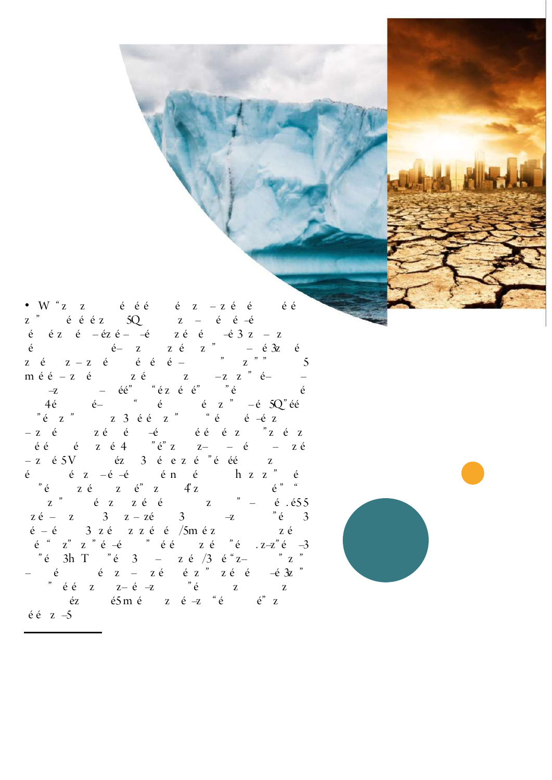• W "z z é é é z – z é é é é  $z$ <br>z " é é é z 5Q z – é é  $-$ é  $-$ é  $-$  z é é  $-$ <br>é é z é – é z é z é z " – é  $x$  é  $-$  é z " – é  $x$  é • W  $z$  z é é é  $z$  -z é é é é<br>  $z$   $z$  -é é  $+$ <br>
é é z é  $-$ é  $z$  -é  $+$ <br>
é  $z$  é  $-$ é  $-$ é  $-$ é  $-$ é  $-$ é  $+$ <br>  $z$  é  $z$  -z  $z$  é  $-$  é  $z$   $z$   $z$   $z$   $z$   $z$   $z$   $z$   $z$   $z$   $$ temperature increase concerns water resources, particularly in terms of shifts in precipitation patterns and snow cover, as well as regional changes in the frequency of flooding and droughts. These changes will have important social and economic • W "z z é é é z – z é é é é  $z$  – z é é é é é é é é é é z é z \* – é  $3z$  – z<br>
é é z é – é z z é  $z$  – °  $z$  – °  $3z$  – °<br>  $z$  é  $z$  – z é é é é – " z " – é  $3z$  e<br>  $z$  é  $z$  – z é é é é – " z " s<br>  $m \t i e$  – z é z é z \* – long-term protection of both environment and society. A deep understanding of past, present and possible future scenarios of changes in the case of the control is the control in the control is the control in the control is the control in the control is the control in the control is the control in the control is the control is the control is the prerequisite for a well-grounded approach to cope with climate  $z = z - z$   $z = z - z$   $z = -z$ <br>  $z = -z$   $z = -z$   $z = -z$   $z = -z$ <br>  $z = -z$   $z = -z$   $z = -z$   $z = -z$   $z = -z$   $z = -z$   $z = -z$   $z = -z$   $z = -z$   $z = -z$   $z = -z$   $z = -z$   $z = -z$   $z = -z$   $z = -z$   $z = -z$   $z = -z$   $z = -z$   $z = -z$   $z = -z$   $z = -z$   $z = -z$   $z = -z$   $z = -z$  environmental sciences of the University of Pisa" and their students have organized a two-day workshop held by  $e^x$   $e^x$   $e^x$   $e^x$   $e^x$   $e^x$   $e^x$   $e^x$   $e^x$   $e^x$   $e^x$   $e^x$   $e^x$   $e^x$   $e^x$   $e^x$   $e^x$   $e^x$   $e^x$   $e^x$   $e^x$   $e^x$   $e^x$   $e^x$   $e^x$   $e^x$   $e^x$   $e^x$   $e^x$   $e^x$   $e^x$   $e^x$   $e^x$   $e^x$   $e^x$   $e^x$   $e^x$  $e^z$   $e^z$   $e^z$   $e^z$   $e^z$   $e^z$   $e^z$   $e^z$   $e^z$   $e^z$   $e^z$   $e^z$   $e^z$   $e^z$   $e^z$   $e^z$   $e^z$   $e^z$   $e^z$   $e^z$   $e^z$   $e^z$   $e^z$   $e^z$   $e^z$   $e^z$   $e^z$   $e^z$   $e^z$   $e^z$   $e^z$   $e^z$   $e^z$   $e^z$   $e^z$   $e^z$   $e^z$ geochemistry, water management). The aim is to illustrate to the broad and broad and broad and broad and broad and broad and broad and broad and broad and broad and broad and broad and broad and broad and broad and broad and broad and broad and broad and broad and broad and broad a students, PhD students, policy makers), the background and complexity of the main complexity of the main complexity of the main climate is  $z^2$  of the main climate is  $e^x$  of  $z^2$  of  $z$  of  $z$  of  $z$  of  $z$  of  $z$  of  $z$  of  $z$  of  $z$  of  $z$  of  $z$  of  $z$  of  $z$  of  $z$  of  $z$ how different approaches can provide important information on our near future. The initiative can be followed also in  $\acute{e}$   $\acute{e}$   $z$   $-5$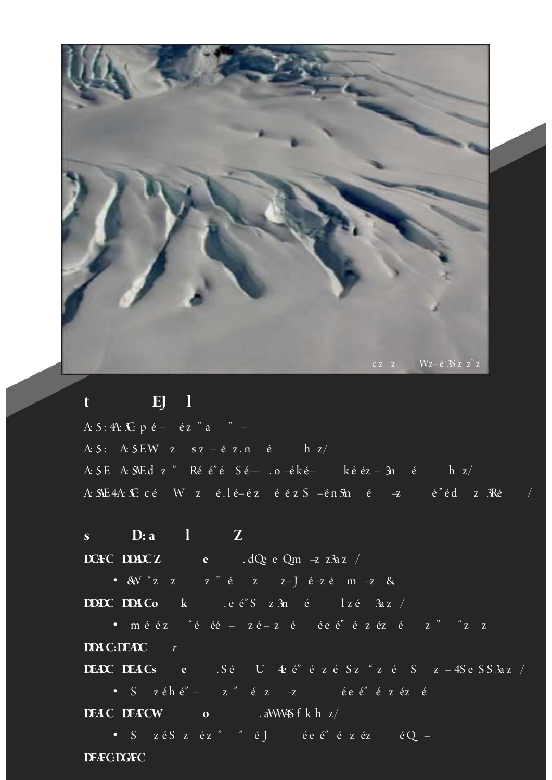

t BI l

A:  $5:4A:5:$  p é – é z " a " – t EJ I<br>
A: 5: 44: 5: pé – éz "a " –<br>
A: 5: A: 5 EW z sz – éz. n é h z/<br>
A: 5 E A: 5 EW z sz – éz. n é h z/<br>
A: 5 E A: 5 Ed z "Réé" é Sé – . o – éké – ké éz – .<br>
A: 5 E4 A: 5 C c é W z é. lé – éz é éz S – én Sn é 1 **EJ I**<br>
A 5: 4x 5: p é – éz "a " –<br>
A 5: A 5EW z sz – éz n é h z/<br>
A 5E A 5EW z "Réé"é S é – . o – ék é – k é éz – 3n é h z/<br>
A 5E 4A 5E c é W z é. l é – éz é éz S – én Sn é –z é "éd z 3Ré **1**<br>
10.15 : 44 : 52 pé = éz" a " –<br>
10.45 : A 5 EW z sz – éznéral é h z/<br>
10.30 A 5 EA SNE dz" Réé" é Sé- o – éké- kééz – 3né h z/<br>
10.30 A 5 EA SNE dz" (A SNE dz" é v z é lé-ézé é éz S – én Sné –z é" édz" (A SNE dz" )<br>
1 A: 5: A: 5 EW z s z – é z. n é<br>
A: 5 E A: 5 Ed z "Ré é"é S é — . o –é<br>
A: 5 E4A: 5 C c é W z é. l é – é z é é z<br>
S D: a l Z<br>
DCAC: DONC Z e .dQ e Qn<br>
N "z z z "é z z = l A:  $5E$  A:  $5E4A$ :  $5C$  é W z é.  $1e-ez$  é é z  $S$  – é n  $5n$  é – z<br> **10.10 Bernardo Gozzini, Case of Tuscana, International impact: the case of Tuscana<br>
10.10 Bernardo Gozzini, the case of Tuscan impact: the case of Tusca** 

19,10 – 11,10 – 11.50 Piero Lionello (Mediterranean climate change in the Versity of Salento, Indian Compare change in the Mediterranean relation between contract of Salento between change in the Mediterranean region of t  $r$ •  $8N x^2 z z^2 e^z z^2 - 2z^2 + 2z^2 + 2z^2 + 2z^2 + 2z^2 + 2z^2 + 2z^2 + 2z^2 + 2z^2 + 2z^2 + 2z^2 + 2z^2 + 2z^2 + 2z^2 + 2z^2 + 2z^2 + 2z^2 + 2z^2 + 2z^2 + 2z^2 + 2z^2 + 2z^2 + 2z^2 + 2z^2 + 2z^2 + 2z^2 + 2z^2 + 2z^2 + 2z^2 + 2z^2 + 2z^2 + 2z^2 + 2z^2 + 2z^$ • mééz "é éé – zé – z é e é é z éz é z " "z<br> **DEAC DEAC** r<br>
• S z éh é" – z " é z –z é e é" é z éz é<br> **DEAC DEACW** o .aWV-S f k h z/<br>
• S z é S z éz " " é J é e é" é z éz é Q –<br> **DEAC DEACW** o .aWV-S f k h z/<br>
• S z é S z

 $\Gamma$ F $\Gamma$ F $\Gamma$  $\Gamma$  $\Gamma$  $\Gamma$  $\Gamma$  $\Gamma$  $\Gamma$  $\Gamma$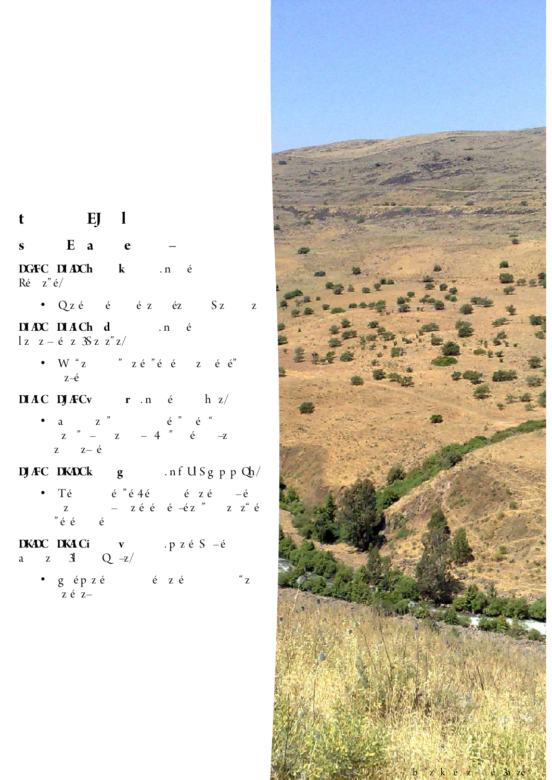# $t$  EJ 1

t EJI<br>
s Eae –<br>
DGFC DLACh k .n é<br>
Réz<sup>"é/</sup> t **EJ 1**<br>
s **E a e**  $-$ <br> **DGFC DIAXCh k** .n é<br>
Ré z"é/<br>
• Qzé é éz éz Sz  $R\acute{e}$   $z''\acute{e}/$ 5. E a e –<br>
19.10 – 15.10 E a e –<br>
Réz<sup>v</sup>é/<br>
• Qzé é éz éz Sz<br>
11.10 d .né<br>
12.2 – éz 3Sz z<sup>v</sup>z/<br>
• W "z " zé "é é z éé"

•  $Q z \acute{e}$   $\acute{e}$   $\acute{e} z$   $\acute{e} z$   $\acute{e} z$   $S z$   $z$ 

 $\begin{bmatrix} z & z - \acute{\mathrm{e}} & z & \mathcal{S}z & z & z \end{bmatrix}$ 

• W "z "zé "é é z é  $e$ "  $z-\acute{e}$ 

• Qzé é éz éz Sz z<br> **IMAC DIACh d** .n é<br>  $z = 2 - 6z$  Sz z"z/<br>
• W "z "zé"éé z éé"<br>  $z = 2 - 4$ " é "z "  $z \atop{z}$  - z - 4  $\stackrel{?}{\circ}$  é -z  $z \sim z - \acute{e}$ **17.40**  $\vec{v}$ **<br>
17.10**  $\vec{v}$  **+ 17.10**  $\vec{v}$  **+ 17.10**  $\vec{v}$  **+ 17.10**  $\vec{v}$  **+ 17.10**  $\vec{v}$  **+ 17.10**  $\vec{v}$  **+ 18.10**  $\vec{v}$  **+ 18.10**  $\vec{v}$  **+ 17.10**  $\vec{v}$  **+ 17.10**  $\vec{v}$  **+ 17.10**  $\vec{v}$  **+ 17.10**  $\vec{v}$  **+ 17.10**  $\vec{v}$ 

 $\begin{array}{ccc} z & -z \, \acute{\text{e}} \, \acute{\text{e}} & \acute{\text{e}} \, \acute{\text{e}} & \acute{\text{e}} \, z \end{array}$   $\begin{array}{ccc} z & z \, \acute{\text{e}} & \acute{\text{e}} \\ z & z \, \end{array}$  $\begin{array}{ccc} z & & - \\ * & \acute{\mathrm{e}} & \acute{\mathrm{e}} & \acute{\mathrm{e}} \end{array}$  $z$   $z - e$ <br>
17.40 EXACK<br>  $z$   $z$   $z$   $z$   $z$   $z$   $z$   $z$ <br>  $z$   $z$   $z$   $z$ <br>  $z$   $z$   $z$   $z$ <br>  $z$   $z$   $z$   $z$ <br>  $z$   $z$   $z$   $z$ <br>  $z$   $z$   $z$ <br>  $z$   $z$   $z$   $z$ <br>  $z$   $z$   $z$   $z$ <br>  $z$   $z$   $z$ <br>  $z$   $z$   $z$ <br>  $z$   $z$   $z$ <br>  $z$   $z$   $z$ • Té é "é 4é é zé – é<br>
z – zé é é – é z " z z" é<br> **C** DKACi v .p z é S – é<br>
z 3 Q – z/<br>
• g é p z é é z é " z<br>
z é z–

a z  $3 \quad Q \rightarrow$ 

 $z \notin \overline{z-}$ 

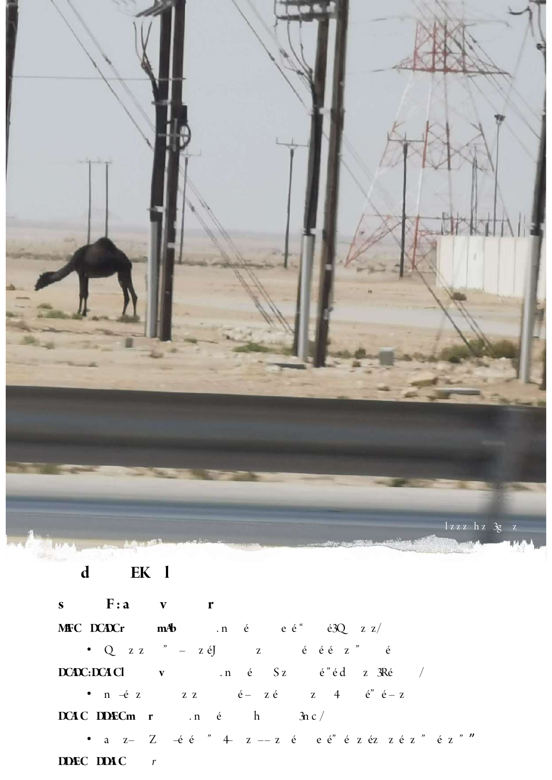

## d EK 1

 **v**  $\therefore$  **n é Sz é"éd z**  $\Re$ **é /** 

**10.10 10.10 10.10 10.10 PMFC DCACr**<br> **10.10 ACRC**<br> **10.10 CACRC**<br> **10.10 CADC:DCACl**<br> **10.10 CACC**<br> **10.10 CACC**<br> **10.10 CMCC**<br> **10.10 CMCC**<br> **11.10** CMC<br> **11.10** CMC<br> **11.10** CMC<br> **11.10** CMC<br> **11.10** CMCC<br> **11.10** CMCC

**MEC DOACr m4b** .n é e é " é SQ z z/<br>
• Q z z " - z é J z é é é z " é<br> **DOAC:DOACl** v .n é S z é " é d z 3Ré /<br>
• n -é z z z z é - z é z 4 é" é - z<br>
DOAC DOEC m r .n é h 3nc/<br>
• a z - Z -é é " 4 z - - z é e é" é z é z é •  $n \div z$  zz  $\acute{e} - z \acute{e}$  z 4  $\acute{e}$ "  $\acute{e} - z$ <br>
DCAC DDECm r .n  $\acute{e}$  h  $3n\ c/$ <br>
•  $a$  z - Z  $\div \acute{e}$  " 4 z - z  $\acute{e}$  e  $\acute{e}$ "  $\acute{e}$  z  $\acute{e}$  z  $\acute{e}$  z  $\acute{e}$  z  $\acute{e}$  z  $\acute{e}$  z  $\acute{e}$  z  $\acute{e}$  z  $\acute{$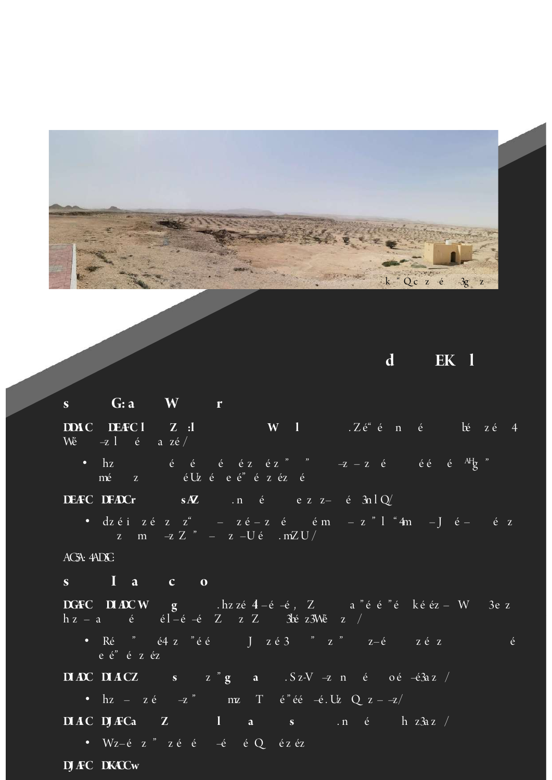

### $d$  EK 1

 $\begin{array}{ccc} \textbf{s} & \textbf{G: a} & \textbf{W} & \textbf{r} \\ \textbf{DMC} & \textbf{DEAC1} & \textbf{Z} & \textbf{d} \\ \textbf{W&} & -z & \textbf{l} & \textbf{e} & \textbf{a} & z\textbf{e} \end{array}$ 11.50 – 12.30 d EK<br>
11.50 – 12.30 Mira Bar-Matthews and Alan Matthews and Alan Matthews (Hebrew William School and Alan Matthews Company)<br>
12.40 – 12.40 Mira Bar-Matthews (Hebrew Matthews 2011 – 12.40 Mira Matthews 2011 – Geological Survey of Israel) • "Participate"  $\frac{1}{2}$  and  $\frac{1}{2}$  is a role of temperature and hydrological changes on speleothem is a role of the role of temperature and hydrological changes of the role of temperature 12.30 – 13.10 Raymond S. Bradley (University of Massachusetts, USA) • "Late Quaternary abrupt climate change in the Tropics and Sub-Tropics: the continental

**G:a** W **r**<br> **DEAC1** Z :1<br>  $\div$ z i é a zé/<br>
hz é é é é z éz " "  $\div$ z – z é éé<br> **DEADCr** sAZ .n é e z z – é 3nlQ/<br>
dzéi z é z  $z^{\alpha}$  – z é – z é – z é – z é – z " – " 1 "4m – J signal of Tropical Hydroclimatic Events (THEs)"

• hz é é é ézéz<sup>"</sup> –<br>
mé z éUzéeé<sup>"</sup> ézézé<br>
DEAC DFAXCr sAZ .n é ezz–<br>
• dzéi zézz" – zé–zé é m<br>
z m –zZ" – z–Ué .mZU/<br>
ACSA: 4ADC:<br>
s I a c 0<br>
DCAFC DIAXCW g .hzzé4-é-é, Z<br>
h<sub>z-a</sub> é él-é-é Z z Z 3béz3Wéz • dzéi zé z z" – zé – z é ém – z"l"4n – J é – é z<br>
z m – z Z" – z – Ué .mZU/<br>
ACSt 4ADG:<br>
s **I a c o**<br>
DCGEC DIADCW g .hz zé 4 – é –é, Z a "é é "é ké éz – W 3e z<br>
h z – a é él – é –é Z z Z 3bé z3Wě z /<br>
• Ré " é 4 z "é é Planck Institute for the Science of Human History,  $\frac{1}{z}$  m  $\frac{1}{z}$  m  $\frac{1}{z}$  m  $\frac{1}{z}$  m  $\frac{1}{z}$  m  $\frac{1}{z}$  m  $\frac{1}{z}$  m  $\frac{1}{z}$  m  $\frac{1}{z}$  m  $\frac{1}{z}$  m  $\frac{1}{z}$  m  $\frac{1}{z}$  m  $\frac{1}{z}$  m  $\frac{1}{z}$  m  $\$ **15.**<br>
16.10 – 15.50  $\frac{1}{2}$  – 15.50  $\frac{1}{2}$  – 15.50  $\frac{1}{2}$  – 15.50  $\frac{1}{2}$  – 15.50  $\frac{1}{2}$  – 15.50  $\frac{1}{2}$ <br>
16.50  $\frac{1}{2}$  – 15.50  $\frac{1}{2}$  – 15.50  $\frac{1}{2}$  – 15.50  $\frac{1}{2}$ <br>
17.40  $\frac{1}{2}$  15.50  $\frac{1}{$ 

e é" é z éz •  $R\acute{e}$   $\acute{e}$   $\acute{e}$   $\acute{e}$   $\acute{e}$   $\acute{e}$   $\acute{e}$   $\acute{e}$   $\acute{e}$   $\acute{e}$   $\acute{e}$   $\acute{e}$   $\acute{e}$   $\acute{e}$   $\acute{e}$   $\acute{e}$   $\acute{e}$   $\acute{e}$   $\acute{e}$   $\acute{e}$   $\acute{e}$   $\acute{e}$   $\acute{e}$   $\acute{e}$   $\acute{e}$   $\acute{e}$   $\acute{e}$   $\$ 

**IFACE IN ACT ACT S**  $z$  "**g a**  $\sqrt{5z}$   $\sqrt{7}$  **n e**  $\cot 43a$   $\sqrt{7}$ <br> **IFACE IN ACE IN ACT**  $\sqrt{7}$  **E**  $\cot 4\theta$  **c**  $\sin 4\theta$  **c**  $\sqrt{7}$ <br> **IFACE IN ACC**  $\sqrt{7}$   $\cot 2\theta$  **E**  $\sqrt{7}$  **C**  $\cot 2\theta$  **E**  $\cot 2\theta$  **E**